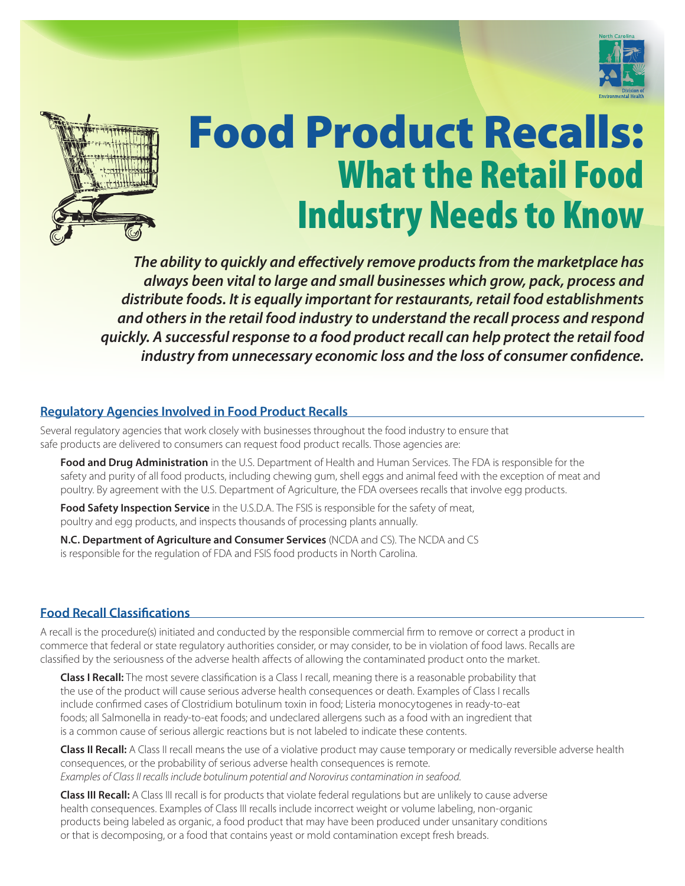



# Food Product Recalls: What the Retail Food Industry Needs to Know

*The ability to quickly and effectively remove products from the marketplace has always been vital to large and small businesses which grow, pack, process and distribute foods. It is equally important for restaurants, retail food establishments and others in the retail food industry to understand the recall process and respond quickly. A successful response to a food product recall can help protect the retail food industry from unnecessary economic loss and the loss of consumer confidence.*

## **Regulatory Agencies Involved in Food Product Recalls**

Several regulatory agencies that work closely with businesses throughout the food industry to ensure that safe products are delivered to consumers can request food product recalls. Those agencies are:

**Food and Drug Administration** in the U.S. Department of Health and Human Services. The FDA is responsible for the safety and purity of all food products, including chewing gum, shell eggs and animal feed with the exception of meat and poultry. By agreement with the U.S. Department of Agriculture, the FDA oversees recalls that involve egg products.

**Food Safety Inspection Service** in the U.S.D.A. The FSIS is responsible for the safety of meat, poultry and egg products, and inspects thousands of processing plants annually.

**N.C. Department of Agriculture and Consumer Services** (NCDA and CS). The NCDA and CS is responsible for the regulation of FDA and FSIS food products in North Carolina.

## **Food Recall Classifications**

A recall is the procedure(s) initiated and conducted by the responsible commercial firm to remove or correct a product in commerce that federal or state regulatory authorities consider, or may consider, to be in violation of food laws. Recalls are classified by the seriousness of the adverse health affects of allowing the contaminated product onto the market.

**Class I Recall:** The most severe classification is a Class I recall, meaning there is a reasonable probability that the use of the product will cause serious adverse health consequences or death. Examples of Class I recalls include confirmed cases of Clostridium botulinum toxin in food; Listeria monocytogenes in ready-to-eat foods; all Salmonella in ready-to-eat foods; and undeclared allergens such as a food with an ingredient that is a common cause of serious allergic reactions but is not labeled to indicate these contents.

**Class II Recall:** A Class II recall means the use of a violative product may cause temporary or medically reversible adverse health consequences, or the probability of serious adverse health consequences is remote. *Examples of Class II recalls include botulinum potential and Norovirus contamination in seafood.*

**Class III Recall:** A Class III recall is for products that violate federal regulations but are unlikely to cause adverse health consequences. Examples of Class III recalls include incorrect weight or volume labeling, non‑organic products being labeled as organic, a food product that may have been produced under unsanitary conditions or that is decomposing, or a food that contains yeast or mold contamination except fresh breads.